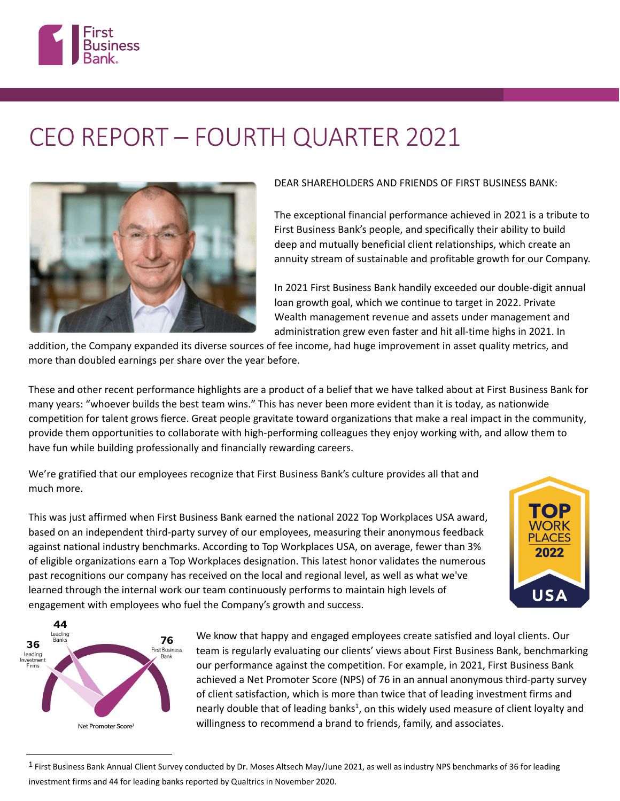

# CEO REPORT – FOURTH QUARTER 2021



### DEAR SHAREHOLDERS AND FRIENDS OF FIRST BUSINESS BANK:

The exceptional financial performance achieved in 2021 is a tribute to First Business Bank's people, and specifically their ability to build deep and mutually beneficial client relationships, which create an annuity stream of sustainable and profitable growth for our Company.

In 2021 First Business Bank handily exceeded our double-digit annual loan growth goal, which we continue to target in 2022. Private Wealth management revenue and assets under management and administration grew even faster and hit all-time highs in 2021. In

> **NORK PLACES** 2022

**USA** 

addition, the Company expanded its diverse sources of fee income, had huge improvement in asset quality metrics, and more than doubled earnings per share over the year before.

These and other recent performance highlights are a product of a belief that we have talked about at First Business Bank for many years: "whoever builds the best team wins." This has never been more evident than it is today, as nationwide competition for talent grows fierce. Great people gravitate toward organizations that make a real impact in the community, provide them opportunities to collaborate with high-performing colleagues they enjoy working with, and allow them to have fun while building professionally and financially rewarding careers.

We're gratified that our employees recognize that First Business Bank's culture provides all that and much more.

This was just affirmed when First Business Bank earned the national 2022 Top Workplaces USA award, based on an independent third-party survey of our employees, measuring their anonymous feedback against national industry benchmarks. According to Top Workplaces USA, on average, fewer than 3% of eligible organizations earn a Top Workplaces designation. This latest honor validates the numerous past recognitions our company has received on the local and regional level, as well as what we've learned through the internal work our team continuously performs to maintain high levels of engagement with employees who fuel the Company's growth and success.



We know that happy and engaged employees create satisfied and loyal clients. Our team is regularly evaluating our clients' views about First Business Bank, benchmarking our performance against the competition. For example, in 2021, First Business Bank achieved a Net Promoter Score (NPS) of 76 in an annual anonymous third-party survey of client satisfaction, which is more than twice that of leading investment firms and nearly double that of leading banks<sup>[1](#page-0-0)</sup>, on this widely used measure of client loyalty and willingness to recommend a brand to friends, family, and associates.

<span id="page-0-0"></span><sup>&</sup>lt;sup>1</sup> First Business Bank Annual Client Survey conducted by Dr. Moses Altsech May/June 2021, as well as industry NPS benchmarks of 36 for leading investment firms and 44 for leading banks reported by Qualtrics in November 2020.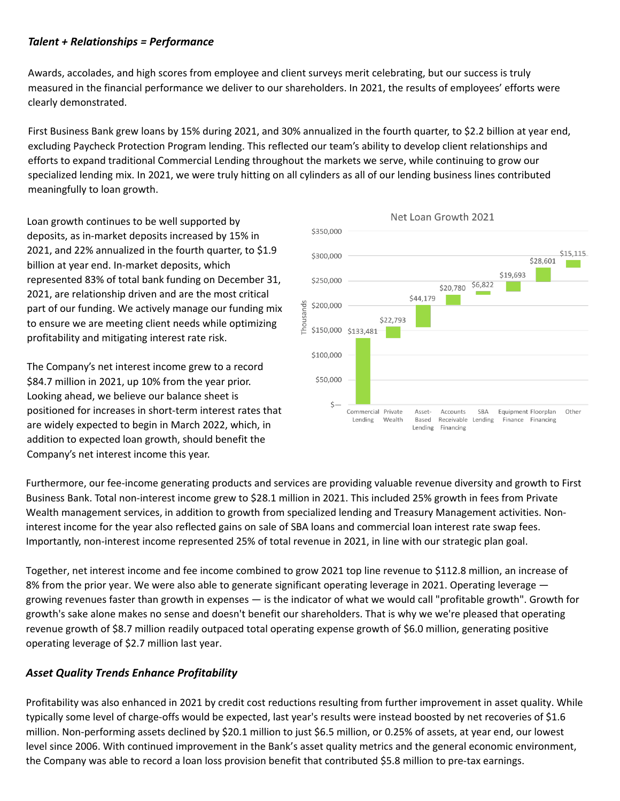## *Talent + Relationships = Performance*

Awards, accolades, and high scores from employee and client surveys merit celebrating, but our success is truly measured in the financial performance we deliver to our shareholders. In 2021, the results of employees' efforts were clearly demonstrated.

First Business Bank grew loans by 15% during 2021, and 30% annualized in the fourth quarter, to \$2.2 billion at year end, excluding Paycheck Protection Program lending. This reflected our team's ability to develop client relationships and efforts to expand traditional Commercial Lending throughout the markets we serve, while continuing to grow our specialized lending mix. In 2021, we were truly hitting on all cylinders as all of our lending business lines contributed meaningfully to loan growth.

Loan growth continues to be well supported by deposits, as in-market deposits increased by 15% in 2021, and 22% annualized in the fourth quarter, to \$1.9 billion at year end. In-market deposits, which represented 83% of total bank funding on December 31, 2021, are relationship driven and are the most critical part of our funding. We actively manage our funding mix to ensure we are meeting client needs while optimizing profitability and mitigating interest rate risk.

The Company's net interest income grew to a record \$84.7 million in 2021, up 10% from the year prior. Looking ahead, we believe our balance sheet is positioned for increases in short-term interest rates that are widely expected to begin in March 2022, which, in addition to expected loan growth, should benefit the Company's net interest income this year.



Furthermore, our fee-income generating products and services are providing valuable revenue diversity and growth to First Business Bank. Total non-interest income grew to \$28.1 million in 2021. This included 25% growth in fees from Private Wealth management services, in addition to growth from specialized lending and Treasury Management activities. Noninterest income for the year also reflected gains on sale of SBA loans and commercial loan interest rate swap fees. Importantly, non-interest income represented 25% of total revenue in 2021, in line with our strategic plan goal.

Together, net interest income and fee income combined to grow 2021 top line revenue to \$112.8 million, an increase of 8% from the prior year. We were also able to generate significant operating leverage in 2021. Operating leverage  $$ growing revenues faster than growth in expenses — is the indicator of what we would call "profitable growth". Growth for growth's sake alone makes no sense and doesn't benefit our shareholders. That is why we we're pleased that operating revenue growth of \$8.7 million readily outpaced total operating expense growth of \$6.0 million, generating positive operating leverage of \$2.7 million last year.

## *Asset Quality Trends Enhance Profitability*

Profitability was also enhanced in 2021 by credit cost reductions resulting from further improvement in asset quality. While typically some level of charge-offs would be expected, last year's results were instead boosted by net recoveries of \$1.6 million. Non-performing assets declined by \$20.1 million to just \$6.5 million, or 0.25% of assets, at year end, our lowest level since 2006. With continued improvement in the Bank's asset quality metrics and the general economic environment, the Company was able to record a loan loss provision benefit that contributed \$5.8 million to pre-tax earnings.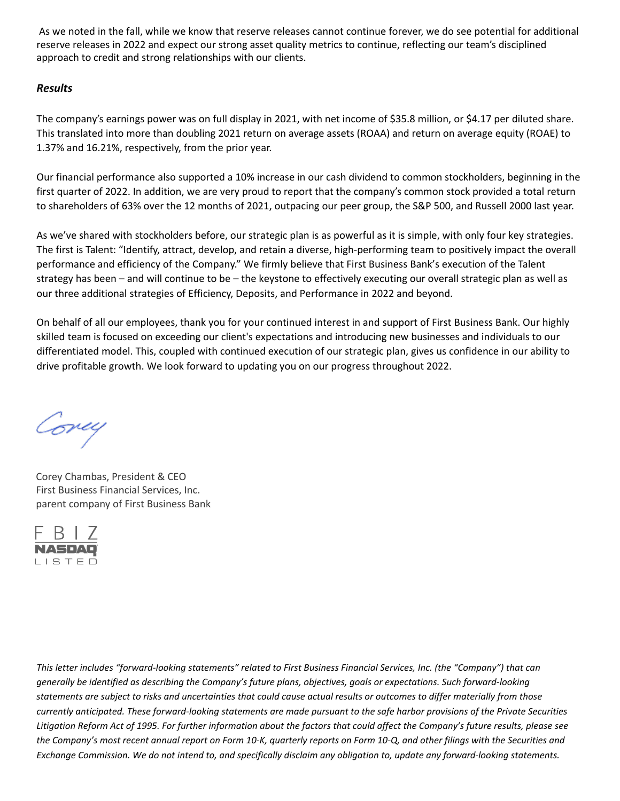As we noted in the fall, while we know that reserve releases cannot continue forever, we do see potential for additional reserve releases in 2022 and expect our strong asset quality metrics to continue, reflecting our team's disciplined approach to credit and strong relationships with our clients.

## *Results*

The company's earnings power was on full display in 2021, with net income of \$35.8 million, or \$4.17 per diluted share. This translated into more than doubling 2021 return on average assets (ROAA) and return on average equity (ROAE) to 1.37% and 16.21%, respectively, from the prior year.

Our financial performance also supported a 10% increase in our cash dividend to common stockholders, beginning in the first quarter of 2022. In addition, we are very proud to report that the company's common stock provided a total return to shareholders of 63% over the 12 months of 2021, outpacing our peer group, the S&P 500, and Russell 2000 last year.

As we've shared with stockholders before, our strategic plan is as powerful as it is simple, with only four key strategies. The first is Talent: "Identify, attract, develop, and retain a diverse, high-performing team to positively impact the overall performance and efficiency of the Company." We firmly believe that First Business Bank's execution of the Talent strategy has been – and will continue to be – the keystone to effectively executing our overall strategic plan as well as our three additional strategies of Efficiency, Deposits, and Performance in 2022 and beyond.

On behalf of all our employees, thank you for your continued interest in and support of First Business Bank. Our highly skilled team is focused on exceeding our client's expectations and introducing new businesses and individuals to our differentiated model. This, coupled with continued execution of our strategic plan, gives us confidence in our ability to drive profitable growth. We look forward to updating you on our progress throughout 2022.

Covey

Corey Chambas, President & CEO First Business Financial Services, Inc. parent company of First Business Bank



*This letter includes "forward-looking statements" related to First Business Financial Services, Inc. (the "Company") that can generally be identified as describing the Company's future plans, objectives, goals or expectations. Such forward-looking statements are subject to risks and uncertainties that could cause actual results or outcomes to differ materially from those currently anticipated. These forward-looking statements are made pursuant to the safe harbor provisions of the Private Securities*  Litigation Reform Act of 1995. For further information about the factors that could affect the Company's future results, please see *the Company's most recent annual report on Form 10-K, quarterly reports on Form 10-Q, and other filings with the Securities and Exchange Commission. We do not intend to, and specifically disclaim any obligation to, update any forward-looking statements.*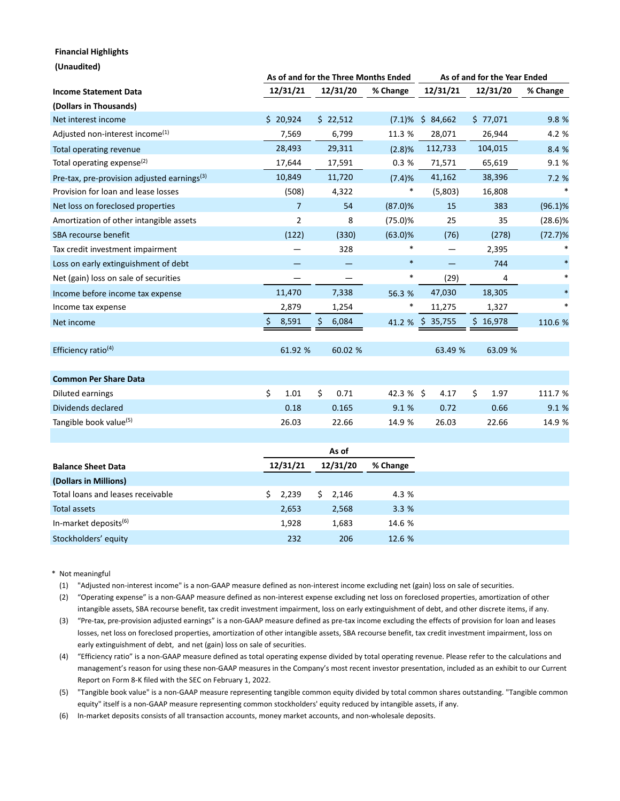#### **Financial Highlights**

| (Unaudited)                                             |                |                                                  |            | As of and for the Year Ended |            |            |
|---------------------------------------------------------|----------------|--------------------------------------------------|------------|------------------------------|------------|------------|
| <b>Income Statement Data</b>                            | 12/31/21       | As of and for the Three Months Ended<br>12/31/20 | % Change   | 12/31/21                     | 12/31/20   | % Change   |
| (Dollars in Thousands)                                  |                |                                                  |            |                              |            |            |
| Net interest income                                     | \$20,924       | \$22,512                                         | $(7.1)\%$  | \$84,662                     | \$77,071   | 9.8 %      |
| Adjusted non-interest income <sup>(1)</sup>             | 7,569          | 6,799                                            | 11.3 %     | 28,071                       | 26,944     | 4.2 %      |
| Total operating revenue                                 | 28,493         | 29,311                                           | (2.8)%     | 112,733                      | 104,015    | 8.4 %      |
| Total operating expense <sup>(2)</sup>                  | 17,644         | 17,591                                           | 0.3%       | 71,571                       | 65,619     | 9.1%       |
| Pre-tax, pre-provision adjusted earnings <sup>(3)</sup> | 10,849         | 11,720                                           | (7.4)%     | 41,162                       | 38,396     | 7.2%       |
| Provision for loan and lease losses                     | (508)          | 4,322                                            | *          | (5,803)                      | 16,808     |            |
| Net loss on foreclosed properties                       | $\overline{7}$ | 54                                               | $(87.0)\%$ | 15                           | 383        | $(96.1)\%$ |
| Amortization of other intangible assets                 | $\overline{2}$ | 8                                                | $(75.0)$ % | 25                           | 35         | $(28.6)\%$ |
| SBA recourse benefit                                    | (122)          | (330)                                            | $(63.0)\%$ | (76)                         | (278)      | $(72.7)\%$ |
| Tax credit investment impairment                        |                | 328                                              |            |                              | 2,395      |            |
| Loss on early extinguishment of debt                    |                |                                                  | $\ast$     |                              | 744        |            |
| Net (gain) loss on sale of securities                   |                |                                                  | *          | (29)                         | 4          |            |
| Income before income tax expense                        | 11,470         | 7,338                                            | 56.3 %     | 47,030                       | 18,305     |            |
| Income tax expense                                      | 2,879          | 1,254                                            | *          | 11,275                       | 1,327      |            |
| Net income                                              | 8,591          | \$<br>6,084                                      | 41.2 %     | \$35,755                     | \$16,978   | 110.6 %    |
| Efficiency ratio <sup>(4)</sup>                         | 61.92 %        | 60.02 %                                          |            | 63.49 %                      | 63.09 %    |            |
| <b>Common Per Share Data</b>                            |                |                                                  |            |                              |            |            |
| Diluted earnings                                        | \$<br>1.01     | \$<br>0.71                                       | $42.3%$ \$ | 4.17                         | \$<br>1.97 | 111.7 %    |
| Dividends declared                                      | 0.18           | 0.165                                            | 9.1 %      | 0.72                         | 0.66       | 9.1%       |
| Tangible book value <sup>(5)</sup>                      | 26.03          | 22.66                                            | 14.9 %     | 26.03                        | 22.66      | 14.9 %     |
|                                                         |                | As of                                            |            |                              |            |            |

| <b>Balance Sheet Data</b>         | 12/31/21 | 12/31/20 | % Change |
|-----------------------------------|----------|----------|----------|
| (Dollars in Millions)             |          |          |          |
| Total loans and leases receivable | 2,239    | 2,146    | 4.3 %    |
| Total assets                      | 2,653    | 2,568    | 3.3%     |
| In-market deposits <sup>(6)</sup> | 1,928    | 1,683    | 14.6 %   |
| Stockholders' equity              | 232      | 206      | 12.6 %   |

\* Not meaningful

(1) "Adjusted non-interest income" is a non-GAAP measure defined as non-interest income excluding net (gain) loss on sale of securities.

(2) "Operating expense" is a non-GAAP measure defined as non-interest expense excluding net loss on foreclosed properties, amortization of other intangible assets, SBA recourse benefit, tax credit investment impairment, loss on early extinguishment of debt, and other discrete items, if any.

(3) "Pre-tax, pre-provision adjusted earnings" is a non-GAAP measure defined as pre-tax income excluding the effects of provision for loan and leases losses, net loss on foreclosed properties, amortization of other intangible assets, SBA recourse benefit, tax credit investment impairment, loss on early extinguishment of debt, and net (gain) loss on sale of securities.

(4) "Efficiency ratio" is a non-GAAP measure defined as total operating expense divided by total operating revenue. Please refer to the calculations and management's reason for using these non-GAAP measures in the Company's most recent investor presentation, included as an exhibit to our Current Report on Form 8-K filed with the SEC on February 1, 2022.

(5) "Tangible book value" is a non-GAAP measure representing tangible common equity divided by total common shares outstanding. "Tangible common equity" itself is a non-GAAP measure representing common stockholders' equity reduced by intangible assets, if any.

(6) In-market deposits consists of all transaction accounts, money market accounts, and non-wholesale deposits.